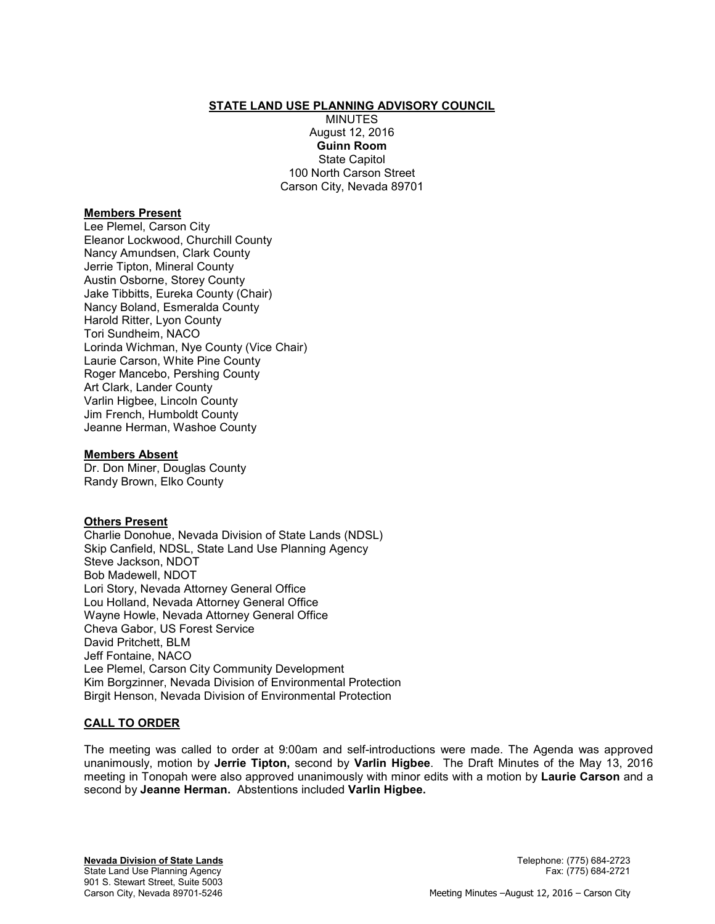#### **STATE LAND USE PLANNING ADVISORY COUNCIL**

MINUTES August 12, 2016 **Guinn Room**  State Capitol 100 North Carson Street Carson City, Nevada 89701

#### **Members Present**

Lee Plemel, Carson City Eleanor Lockwood, Churchill County Nancy Amundsen, Clark County Jerrie Tipton, Mineral County Austin Osborne, Storey County Jake Tibbitts, Eureka County (Chair) Nancy Boland, Esmeralda County Harold Ritter, Lyon County Tori Sundheim, NACO Lorinda Wichman, Nye County (Vice Chair) Laurie Carson, White Pine County Roger Mancebo, Pershing County Art Clark, Lander County Varlin Higbee, Lincoln County Jim French, Humboldt County Jeanne Herman, Washoe County

#### **Members Absent**

Dr. Don Miner, Douglas County Randy Brown, Elko County

## **Others Present**

Charlie Donohue, Nevada Division of State Lands (NDSL) Skip Canfield, NDSL, State Land Use Planning Agency Steve Jackson, NDOT Bob Madewell, NDOT Lori Story, Nevada Attorney General Office Lou Holland, Nevada Attorney General Office Wayne Howle, Nevada Attorney General Office Cheva Gabor, US Forest Service David Pritchett, BLM Jeff Fontaine, NACO Lee Plemel, Carson City Community Development Kim Borgzinner, Nevada Division of Environmental Protection Birgit Henson, Nevada Division of Environmental Protection

## **CALL TO ORDER**

The meeting was called to order at 9:00am and self-introductions were made. The Agenda was approved unanimously, motion by **Jerrie Tipton,** second by **Varlin Higbee**. The Draft Minutes of the May 13, 2016 meeting in Tonopah were also approved unanimously with minor edits with a motion by **Laurie Carson** and a second by **Jeanne Herman.** Abstentions included **Varlin Higbee.**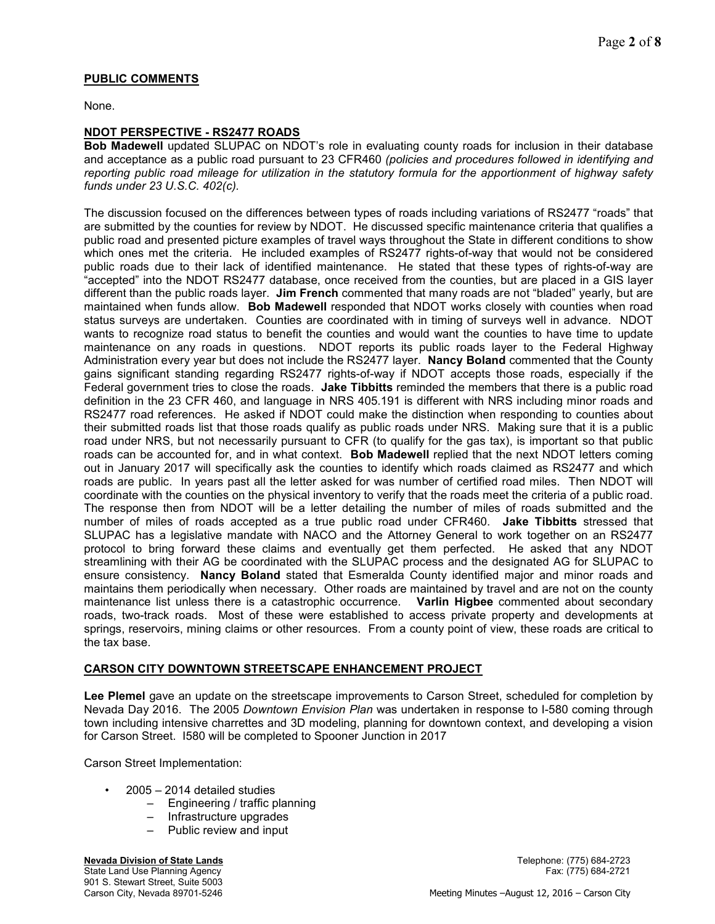# **PUBLIC COMMENTS**

None.

## **NDOT PERSPECTIVE - RS2477 ROADS**

**Bob Madewell** updated SLUPAC on NDOT's role in evaluating county roads for inclusion in their database and acceptance as a public road pursuant to 23 CFR460 *(policies and procedures followed in identifying and reporting public road mileage for utilization in the statutory formula for the apportionment of highway safety funds under 23 U.S.C. 402(c).*

The discussion focused on the differences between types of roads including variations of RS2477 "roads" that are submitted by the counties for review by NDOT. He discussed specific maintenance criteria that qualifies a public road and presented picture examples of travel ways throughout the State in different conditions to show which ones met the criteria. He included examples of RS2477 rights-of-way that would not be considered public roads due to their lack of identified maintenance. He stated that these types of rights-of-way are "accepted" into the NDOT RS2477 database, once received from the counties, but are placed in a GIS layer different than the public roads layer. **Jim French** commented that many roads are not "bladed" yearly, but are maintained when funds allow. **Bob Madewell** responded that NDOT works closely with counties when road status surveys are undertaken. Counties are coordinated with in timing of surveys well in advance. NDOT wants to recognize road status to benefit the counties and would want the counties to have time to update maintenance on any roads in questions. NDOT reports its public roads layer to the Federal Highway Administration every year but does not include the RS2477 layer. **Nancy Boland** commented that the County gains significant standing regarding RS2477 rights-of-way if NDOT accepts those roads, especially if the Federal government tries to close the roads. **Jake Tibbitts** reminded the members that there is a public road definition in the 23 CFR 460, and language in NRS 405.191 is different with NRS including minor roads and RS2477 road references. He asked if NDOT could make the distinction when responding to counties about their submitted roads list that those roads qualify as public roads under NRS. Making sure that it is a public road under NRS, but not necessarily pursuant to CFR (to qualify for the gas tax), is important so that public roads can be accounted for, and in what context. **Bob Madewell** replied that the next NDOT letters coming out in January 2017 will specifically ask the counties to identify which roads claimed as RS2477 and which roads are public. In years past all the letter asked for was number of certified road miles. Then NDOT will coordinate with the counties on the physical inventory to verify that the roads meet the criteria of a public road. The response then from NDOT will be a letter detailing the number of miles of roads submitted and the number of miles of roads accepted as a true public road under CFR460. **Jake Tibbitts** stressed that SLUPAC has a legislative mandate with NACO and the Attorney General to work together on an RS2477 protocol to bring forward these claims and eventually get them perfected. He asked that any NDOT streamlining with their AG be coordinated with the SLUPAC process and the designated AG for SLUPAC to ensure consistency. **Nancy Boland** stated that Esmeralda County identified major and minor roads and maintains them periodically when necessary. Other roads are maintained by travel and are not on the county maintenance list unless there is a catastrophic occurrence. **Varlin Higbee** commented about secondary roads, two-track roads. Most of these were established to access private property and developments at springs, reservoirs, mining claims or other resources. From a county point of view, these roads are critical to the tax base.

## **CARSON CITY DOWNTOWN STREETSCAPE ENHANCEMENT PROJECT**

**Lee Plemel** gave an update on the streetscape improvements to Carson Street, scheduled for completion by Nevada Day 2016. The 2005 *Downtown Envision Plan* was undertaken in response to I-580 coming through town including intensive charrettes and 3D modeling, planning for downtown context, and developing a vision for Carson Street. I580 will be completed to Spooner Junction in 2017

Carson Street Implementation:

- $2005 2014$  detailed studies
	- Engineering / traffic planning
	- Infrastructure upgrades
	- Public review and input

**Nevada Division of State Lands** Telephone: (775) 684-2723

901 S. Stewart Street, Suite 5003<br>Carson City, Nevada 89701-5246

State Land Use Planning Agency Fax: (775) 684-2721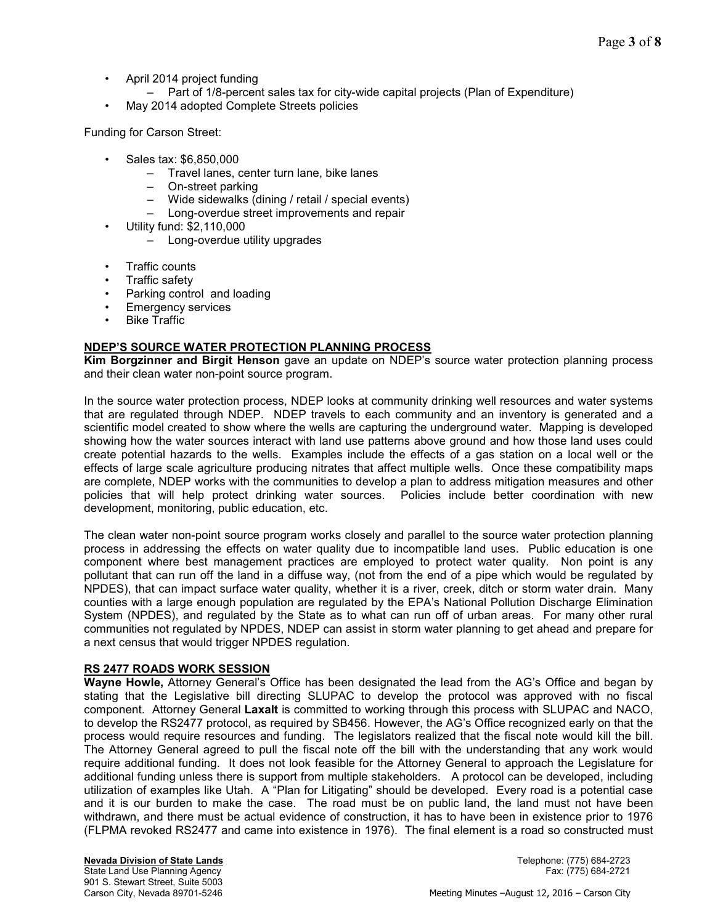- April 2014 project funding
- Part of 1/8-percent sales tax for city-wide capital projects (Plan of Expenditure)
- May 2014 adopted Complete Streets policies

Funding for Carson Street:

- Sales tax: \$6,850,000
	- Travel lanes, center turn lane, bike lanes
	- On-street parking
	- Wide sidewalks (dining / retail / special events)
	- Long-overdue street improvements and repair
- Utility fund: \$2,110,000
	- Long-overdue utility upgrades
- Traffic counts
- Traffic safety
- Parking control and loading
- Emergency services
- **Bike Traffic**

# **NDEP'S SOURCE WATER PROTECTION PLANNING PROCESS**

**Kim Borgzinner and Birgit Henson** gave an update on NDEP's source water protection planning process and their clean water non-point source program.

In the source water protection process, NDEP looks at community drinking well resources and water systems that are regulated through NDEP. NDEP travels to each community and an inventory is generated and a scientific model created to show where the wells are capturing the underground water. Mapping is developed showing how the water sources interact with land use patterns above ground and how those land uses could create potential hazards to the wells. Examples include the effects of a gas station on a local well or the effects of large scale agriculture producing nitrates that affect multiple wells. Once these compatibility maps are complete, NDEP works with the communities to develop a plan to address mitigation measures and other policies that will help protect drinking water sources. Policies include better coordination with new development, monitoring, public education, etc.

The clean water non-point source program works closely and parallel to the source water protection planning process in addressing the effects on water quality due to incompatible land uses. Public education is one component where best management practices are employed to protect water quality. Non point is any pollutant that can run off the land in a diffuse way, (not from the end of a pipe which would be regulated by NPDES), that can impact surface water quality, whether it is a river, creek, ditch or storm water drain. Many counties with a large enough population are regulated by the EPA's National Pollution Discharge Elimination System (NPDES), and regulated by the State as to what can run off of urban areas. For many other rural communities not regulated by NPDES, NDEP can assist in storm water planning to get ahead and prepare for a next census that would trigger NPDES regulation.

## **RS 2477 ROADS WORK SESSION**

**Wayne Howle,** Attorney General's Office has been designated the lead from the AG's Office and began by stating that the Legislative bill directing SLUPAC to develop the protocol was approved with no fiscal component. Attorney General **Laxalt** is committed to working through this process with SLUPAC and NACO, to develop the RS2477 protocol, as required by SB456. However, the AG's Office recognized early on that the process would require resources and funding. The legislators realized that the fiscal note would kill the bill. The Attorney General agreed to pull the fiscal note off the bill with the understanding that any work would require additional funding. It does not look feasible for the Attorney General to approach the Legislature for additional funding unless there is support from multiple stakeholders. A protocol can be developed, including utilization of examples like Utah. A "Plan for Litigating" should be developed. Every road is a potential case and it is our burden to make the case. The road must be on public land, the land must not have been withdrawn, and there must be actual evidence of construction, it has to have been in existence prior to 1976 (FLPMA revoked RS2477 and came into existence in 1976). The final element is a road so constructed must

State Land Use Planning Agency 901 S. Stewart Street, Suite 5003<br>Carson City, Nevada 89701-5246

**Nevada Division of State Lands** Telephone: (775) 684-2723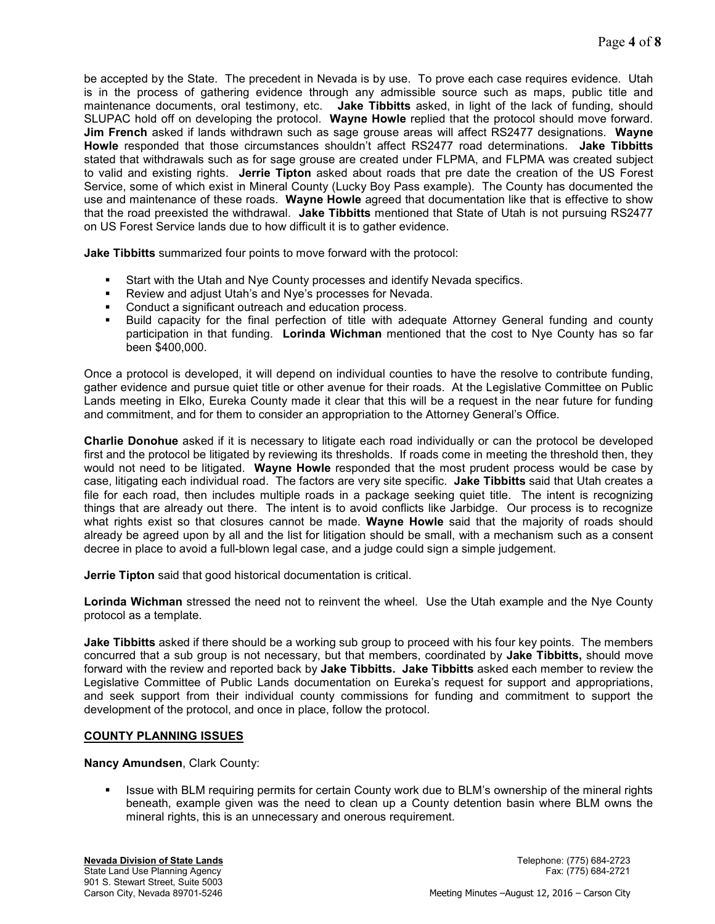be accepted by the State. The precedent in Nevada is by use. To prove each case requires evidence. Utah is in the process of gathering evidence through any admissible source such as maps, public title and maintenance documents, oral testimony, etc. **Jake Tibbitts** asked, in light of the lack of funding, should SLUPAC hold off on developing the protocol. **Wayne Howle** replied that the protocol should move forward. **Jim French** asked if lands withdrawn such as sage grouse areas will affect RS2477 designations. **Wayne Howle** responded that those circumstances shouldn't affect RS2477 road determinations. **Jake Tibbitts**  stated that withdrawals such as for sage grouse are created under FLPMA, and FLPMA was created subject to valid and existing rights. **Jerrie Tipton** asked about roads that pre date the creation of the US Forest Service, some of which exist in Mineral County (Lucky Boy Pass example). The County has documented the use and maintenance of these roads. **Wayne Howle** agreed that documentation like that is effective to show that the road preexisted the withdrawal. **Jake Tibbitts** mentioned that State of Utah is not pursuing RS2477 on US Forest Service lands due to how difficult it is to gather evidence.

**Jake Tibbitts** summarized four points to move forward with the protocol:

- Start with the Utah and Nye County processes and identify Nevada specifics.
- Review and adjust Utah's and Nye's processes for Nevada.
- **Conduct a significant outreach and education process.**
- Build capacity for the final perfection of title with adequate Attorney General funding and county participation in that funding. **Lorinda Wichman** mentioned that the cost to Nye County has so far been \$400,000.

Once a protocol is developed, it will depend on individual counties to have the resolve to contribute funding, gather evidence and pursue quiet title or other avenue for their roads. At the Legislative Committee on Public Lands meeting in Elko, Eureka County made it clear that this will be a request in the near future for funding and commitment, and for them to consider an appropriation to the Attorney General's Office.

**Charlie Donohue** asked if it is necessary to litigate each road individually or can the protocol be developed first and the protocol be litigated by reviewing its thresholds. If roads come in meeting the threshold then, they would not need to be litigated. **Wayne Howle** responded that the most prudent process would be case by case, litigating each individual road. The factors are very site specific. **Jake Tibbitts** said that Utah creates a file for each road, then includes multiple roads in a package seeking quiet title. The intent is recognizing things that are already out there. The intent is to avoid conflicts like Jarbidge. Our process is to recognize what rights exist so that closures cannot be made. **Wayne Howle** said that the majority of roads should already be agreed upon by all and the list for litigation should be small, with a mechanism such as a consent decree in place to avoid a full-blown legal case, and a judge could sign a simple judgement.

**Jerrie Tipton** said that good historical documentation is critical.

**Lorinda Wichman** stressed the need not to reinvent the wheel. Use the Utah example and the Nye County protocol as a template.

**Jake Tibbitts** asked if there should be a working sub group to proceed with his four key points. The members concurred that a sub group is not necessary, but that members, coordinated by **Jake Tibbitts,** should move forward with the review and reported back by **Jake Tibbitts. Jake Tibbitts** asked each member to review the Legislative Committee of Public Lands documentation on Eureka's request for support and appropriations, and seek support from their individual county commissions for funding and commitment to support the development of the protocol, and once in place, follow the protocol.

## **COUNTY PLANNING ISSUES**

**Nancy Amundsen**, Clark County:

Issue with BLM requiring permits for certain County work due to BLM's ownership of the mineral rights beneath, example given was the need to clean up a County detention basin where BLM owns the mineral rights, this is an unnecessary and onerous requirement.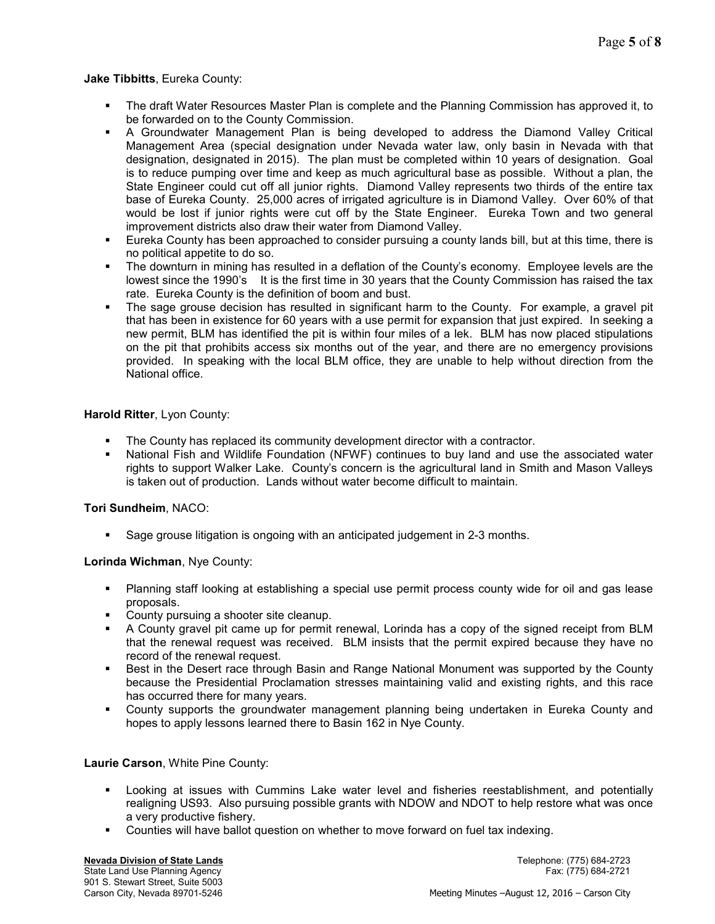# **Jake Tibbitts**, Eureka County:

- The draft Water Resources Master Plan is complete and the Planning Commission has approved it, to be forwarded on to the County Commission.
- A Groundwater Management Plan is being developed to address the Diamond Valley Critical Management Area (special designation under Nevada water law, only basin in Nevada with that designation, designated in 2015). The plan must be completed within 10 years of designation. Goal is to reduce pumping over time and keep as much agricultural base as possible. Without a plan, the State Engineer could cut off all junior rights. Diamond Valley represents two thirds of the entire tax base of Eureka County. 25,000 acres of irrigated agriculture is in Diamond Valley. Over 60% of that would be lost if junior rights were cut off by the State Engineer. Eureka Town and two general improvement districts also draw their water from Diamond Valley.
- Eureka County has been approached to consider pursuing a county lands bill, but at this time, there is no political appetite to do so.
- The downturn in mining has resulted in a deflation of the County's economy. Employee levels are the lowest since the 1990's It is the first time in 30 years that the County Commission has raised the tax rate. Eureka County is the definition of boom and bust.
- The sage grouse decision has resulted in significant harm to the County. For example, a gravel pit that has been in existence for 60 years with a use permit for expansion that just expired. In seeking a new permit, BLM has identified the pit is within four miles of a lek. BLM has now placed stipulations on the pit that prohibits access six months out of the year, and there are no emergency provisions provided. In speaking with the local BLM office, they are unable to help without direction from the National office.

# **Harold Ritter**, Lyon County:

- The County has replaced its community development director with a contractor.
- National Fish and Wildlife Foundation (NFWF) continues to buy land and use the associated water rights to support Walker Lake. County's concern is the agricultural land in Smith and Mason Valleys is taken out of production. Lands without water become difficult to maintain.

## **Tori Sundheim**, NACO:

Sage grouse litigation is ongoing with an anticipated judgement in 2-3 months.

# **Lorinda Wichman**, Nye County:

- Planning staff looking at establishing a special use permit process county wide for oil and gas lease proposals.
- County pursuing a shooter site cleanup.
- A County gravel pit came up for permit renewal, Lorinda has a copy of the signed receipt from BLM that the renewal request was received. BLM insists that the permit expired because they have no record of the renewal request.
- Best in the Desert race through Basin and Range National Monument was supported by the County because the Presidential Proclamation stresses maintaining valid and existing rights, and this race has occurred there for many years.
- County supports the groundwater management planning being undertaken in Eureka County and hopes to apply lessons learned there to Basin 162 in Nye County.

## **Laurie Carson**, White Pine County:

- Looking at issues with Cummins Lake water level and fisheries reestablishment, and potentially realigning US93. Also pursuing possible grants with NDOW and NDOT to help restore what was once a very productive fishery.
- Counties will have ballot question on whether to move forward on fuel tax indexing.

State Land Use Planning Agency 901 S. Stewart Street, Suite 5003<br>Carson City, Nevada 89701-5246

**Nevada Division of State Lands** Telephone: (775) 684-2723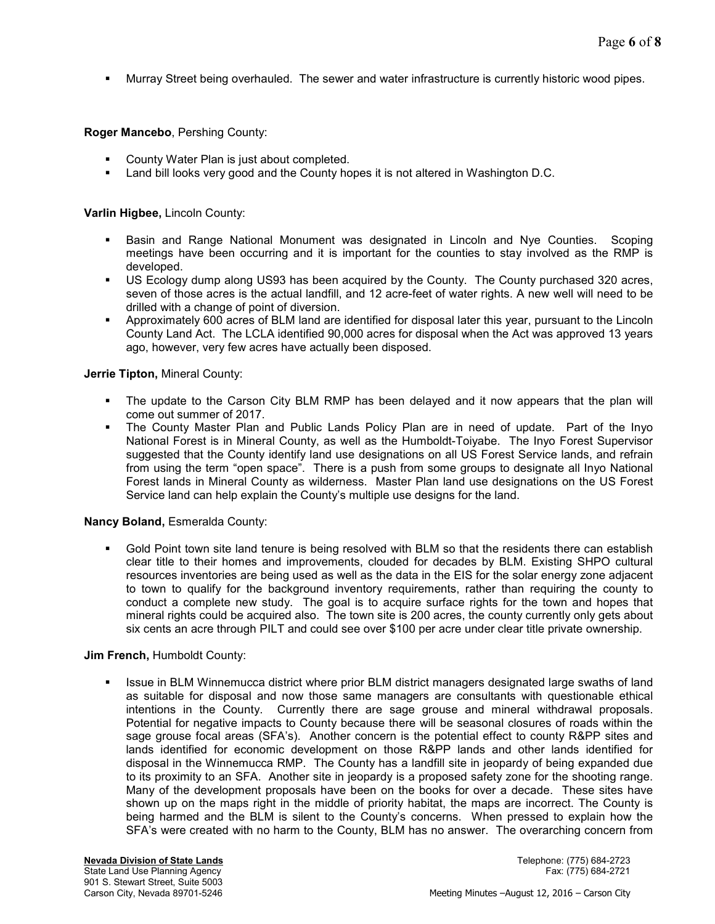Murray Street being overhauled. The sewer and water infrastructure is currently historic wood pipes.

**Roger Mancebo**, Pershing County:

- County Water Plan is just about completed.
- Land bill looks very good and the County hopes it is not altered in Washington D.C.

**Varlin Higbee,** Lincoln County:

- Basin and Range National Monument was designated in Lincoln and Nye Counties. Scoping meetings have been occurring and it is important for the counties to stay involved as the RMP is developed.
- US Ecology dump along US93 has been acquired by the County. The County purchased 320 acres, seven of those acres is the actual landfill, and 12 acre-feet of water rights. A new well will need to be drilled with a change of point of diversion.
- Approximately 600 acres of BLM land are identified for disposal later this year, pursuant to the Lincoln County Land Act. The LCLA identified 90,000 acres for disposal when the Act was approved 13 years ago, however, very few acres have actually been disposed.

## **Jerrie Tipton,** Mineral County:

- The update to the Carson City BLM RMP has been delayed and it now appears that the plan will come out summer of 2017.
- The County Master Plan and Public Lands Policy Plan are in need of update. Part of the Inyo National Forest is in Mineral County, as well as the Humboldt-Toiyabe. The Inyo Forest Supervisor suggested that the County identify land use designations on all US Forest Service lands, and refrain from using the term "open space". There is a push from some groups to designate all Inyo National Forest lands in Mineral County as wilderness. Master Plan land use designations on the US Forest Service land can help explain the County's multiple use designs for the land.

## **Nancy Boland,** Esmeralda County:

 Gold Point town site land tenure is being resolved with BLM so that the residents there can establish clear title to their homes and improvements, clouded for decades by BLM. Existing SHPO cultural resources inventories are being used as well as the data in the EIS for the solar energy zone adjacent to town to qualify for the background inventory requirements, rather than requiring the county to conduct a complete new study. The goal is to acquire surface rights for the town and hopes that mineral rights could be acquired also. The town site is 200 acres, the county currently only gets about six cents an acre through PILT and could see over \$100 per acre under clear title private ownership.

## **Jim French,** Humboldt County:

 Issue in BLM Winnemucca district where prior BLM district managers designated large swaths of land as suitable for disposal and now those same managers are consultants with questionable ethical intentions in the County. Currently there are sage grouse and mineral withdrawal proposals. Potential for negative impacts to County because there will be seasonal closures of roads within the sage grouse focal areas (SFA's). Another concern is the potential effect to county R&PP sites and lands identified for economic development on those R&PP lands and other lands identified for disposal in the Winnemucca RMP. The County has a landfill site in jeopardy of being expanded due to its proximity to an SFA. Another site in jeopardy is a proposed safety zone for the shooting range. Many of the development proposals have been on the books for over a decade. These sites have shown up on the maps right in the middle of priority habitat, the maps are incorrect. The County is being harmed and the BLM is silent to the County's concerns. When pressed to explain how the SFA's were created with no harm to the County, BLM has no answer. The overarching concern from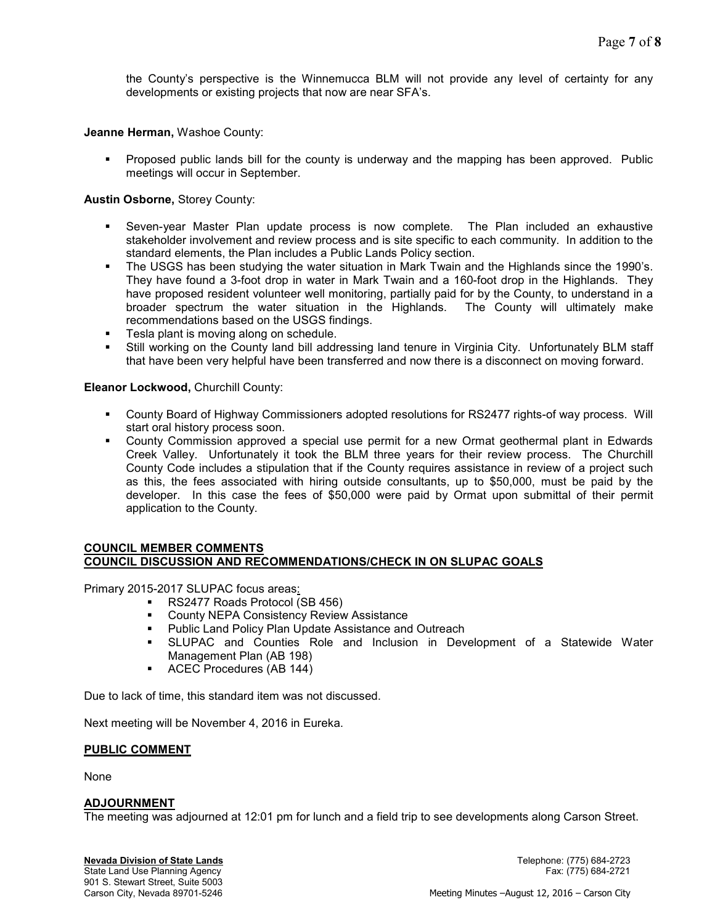the County's perspective is the Winnemucca BLM will not provide any level of certainty for any developments or existing projects that now are near SFA's.

**Jeanne Herman,** Washoe County:

 Proposed public lands bill for the county is underway and the mapping has been approved. Public meetings will occur in September.

## **Austin Osborne,** Storey County:

- Seven-year Master Plan update process is now complete. The Plan included an exhaustive stakeholder involvement and review process and is site specific to each community. In addition to the standard elements, the Plan includes a Public Lands Policy section.
- The USGS has been studying the water situation in Mark Twain and the Highlands since the 1990's. They have found a 3-foot drop in water in Mark Twain and a 160-foot drop in the Highlands. They have proposed resident volunteer well monitoring, partially paid for by the County, to understand in a broader spectrum the water situation in the Highlands. The County will ultimately make recommendations based on the USGS findings.
- **Tesla plant is moving along on schedule.**
- Still working on the County land bill addressing land tenure in Virginia City. Unfortunately BLM staff that have been very helpful have been transferred and now there is a disconnect on moving forward.

#### **Eleanor Lockwood,** Churchill County:

- County Board of Highway Commissioners adopted resolutions for RS2477 rights-of way process. Will start oral history process soon.
- County Commission approved a special use permit for a new Ormat geothermal plant in Edwards Creek Valley. Unfortunately it took the BLM three years for their review process. The Churchill County Code includes a stipulation that if the County requires assistance in review of a project such as this, the fees associated with hiring outside consultants, up to \$50,000, must be paid by the developer. In this case the fees of \$50,000 were paid by Ormat upon submittal of their permit application to the County.

#### **COUNCIL MEMBER COMMENTS COUNCIL DISCUSSION AND RECOMMENDATIONS/CHECK IN ON SLUPAC GOALS**

Primary 2015-2017 SLUPAC focus areas:

- RS2477 Roads Protocol (SB 456)
- **EXECOUNTY NEPA Consistency Review Assistance**
- **Public Land Policy Plan Update Assistance and Outreach**
- SLUPAC and Counties Role and Inclusion in Development of a Statewide Water Management Plan (AB 198)
- **ACEC Procedures (AB 144)**

Due to lack of time, this standard item was not discussed.

Next meeting will be November 4, 2016 in Eureka.

#### **PUBLIC COMMENT**

None

#### **ADJOURNMENT**

The meeting was adjourned at 12:01 pm for lunch and a field trip to see developments along Carson Street.

State Land Use Planning Agency 901 S. Stewart Street, Suite 5003<br>Carson City, Nevada 89701-5246

**Nevada Division of State Lands** Telephone: (775) 684-2723